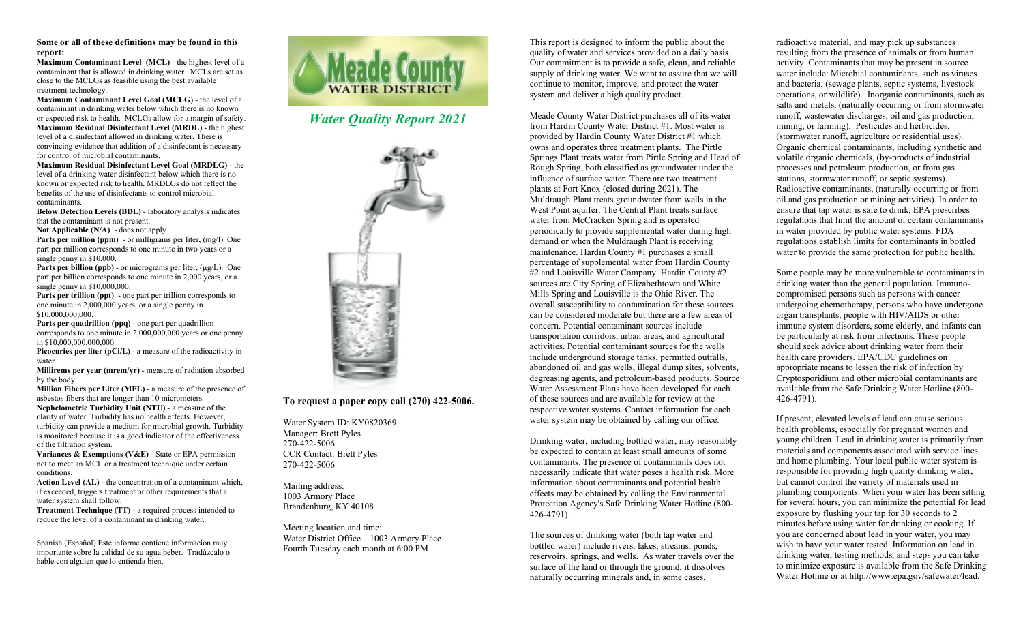## **Some or all of these definitions may be found in this report:**

**Maximum Contaminant Level (MCL)** - the highest level of a contaminant that is allowed in drinking water. MCLs are set as close to the MCLGs as feasible using the best available treatment technology.

**Maximum Contaminant Level Goal (MCLG)** - the level of a contaminant in drinking water below which there is no known or expected risk to health. MCLGs allow for a margin of safety. **Maximum Residual Disinfectant Level (MRDL)** - the highest level of a disinfectant allowed in drinking water. There is convincing evidence that addition of a disinfectant is necessary for control of microbial contaminants.

**Maximum Residual Disinfectant Level Goal (MRDLG)** - the level of a drinking water disinfectant below which there is no known or expected risk to health. MRDLGs do not reflect the benefits of the use of disinfectants to control microbial contaminants.

**Below Detection Levels (BDL)** - laboratory analysis indicates that the contaminant is not present.

**Not Applicable (N/A)** - does not apply.

**Parts per million (ppm)** - or milligrams per liter, (mg/l). One part per million corresponds to one minute in two years or a single penny in \$10,000.

Parts per billion (ppb) - or micrograms per liter, (µg/L). One part per billion corresponds to one minute in 2,000 years, or a single penny in \$10,000,000.

**Parts per trillion (ppt)** - one part per trillion corresponds to one minute in 2,000,000 years, or a single penny in \$10,000,000,000.

**Parts per quadrillion (ppq)** - one part per quadrillion corresponds to one minute in 2,000,000,000 years or one penny in \$10,000,000,000,000.

**Picocuries per liter (pCi/L)** - a measure of the radioactivity in water.

**Millirems per year (mrem/yr)** - measure of radiation absorbed by the body.

**Million Fibers per Liter (MFL)** - a measure of the presence of asbestos fibers that are longer than 10 micrometers. **Nephelometric Turbidity Unit (NTU)** - a measure of the clarity of water. Turbidity has no health effects. However, turbidity can provide a medium for microbial growth. Turbidity is monitored because it is a good indicator of the effectiveness

of the filtration system. **Variances & Exemptions (V&E)** - State or EPA permission not to meet an MCL or a treatment technique under certain

conditions. **Action Level (AL)** - the concentration of a contaminant which, if exceeded, triggers treatment or other requirements that a water system shall follow.

**Treatment Technique (TT)** - a required process intended to reduce the level of a contaminant in drinking water.

Spanish (Español) Este informe contiene información muy importante sobre la calidad de su agua beber. Tradúzcalo o hable con alguien que lo entienda bien.



*Water Quality Report 2021*



## **To request a paper copy call (270) 422-5006.**

Water System ID: KY0820369 Manager: Brett Pyles 270-422-5006 CCR Contact: Brett Pyles 270-422-5006

Mailing address: 1003 Armory Place Brandenburg, KY 40108

Meeting location and time: Water District Office – 1003 Armory Place Fourth Tuesday each month at 6:00 PM

This report is designed to inform the public about the quality of water and services provided on a daily basis. Our commitment is to provide a safe, clean, and reliable supply of drinking water. We want to assure that we will continue to monitor, improve, and protect the water system and deliver a high quality product.

Meade County Water District purchases all of its water from Hardin County Water District #1. Most water is provided by Hardin County Water District #1 which owns and operates three treatment plants. The Pirtle Springs Plant treats water from Pirtle Spring and Head of Rough Spring, both classified as groundwater under the influence of surface water. There are two treatment plants at Fort Knox (closed during 2021). The Muldraugh Plant treats groundwater from wells in the West Point aquifer. The Central Plant treats surface water from McCracken Spring and is operated periodically to provide supplemental water during high demand or when the Muldraugh Plant is receiving maintenance. Hardin County #1 purchases a small percentage of supplemental water from Hardin County #2 and Louisville Water Company. Hardin County #2 sources are City Spring of Elizabethtown and White Mills Spring and Louisville is the Ohio River. The overall susceptibility to contamination for these sources can be considered moderate but there are a few areas of concern. Potential contaminant sources include transportation corridors, urban areas, and agricultural activities. Potential contaminant sources for the wells include underground storage tanks, permitted outfalls, abandoned oil and gas wells, illegal dump sites, solvents, degreasing agents, and petroleum-based products. Source Water Assessment Plans have been developed for each of these sources and are available for review at the respective water systems. Contact information for each water system may be obtained by calling our office.

Drinking water, including bottled water, may reasonably be expected to contain at least small amounts of some contaminants. The presence of contaminants does not necessarily indicate that water poses a health risk. More information about contaminants and potential health effects may be obtained by calling the Environmental Protection Agency's Safe Drinking Water Hotline (800- 426-4791).

The sources of drinking water (both tap water and bottled water) include rivers, lakes, streams, ponds, reservoirs, springs, and wells. As water travels over the surface of the land or through the ground, it dissolves naturally occurring minerals and, in some cases,

radioactive material, and may pick up substances resulting from the presence of animals or from human activity. Contaminants that may be present in source water include: Microbial contaminants, such as viruses and bacteria, (sewage plants, septic systems, livestock operations, or wildlife). Inorganic contaminants, such as salts and metals, (naturally occurring or from stormwater runoff, wastewater discharges, oil and gas production, mining, or farming). Pesticides and herbicides, (stormwater runoff, agriculture or residential uses). Organic chemical contaminants, including synthetic and volatile organic chemicals, (by-products of industrial processes and petroleum production, or from gas stations, stormwater runoff, or septic systems). Radioactive contaminants, (naturally occurring or from oil and gas production or mining activities). In order to ensure that tap water is safe to drink, EPA prescribes regulations that limit the amount of certain contaminants in water provided by public water systems. FDA regulations establish limits for contaminants in bottled water to provide the same protection for public health.

Some people may be more vulnerable to contaminants in drinking water than the general population. Immunocompromised persons such as persons with cancer undergoing chemotherapy, persons who have undergone organ transplants, people with HIV/AIDS or other immune system disorders, some elderly, and infants can be particularly at risk from infections. These people should seek advice about drinking water from their health care providers. EPA/CDC guidelines on appropriate means to lessen the risk of infection by Cryptosporidium and other microbial contaminants are available from the Safe Drinking Water Hotline (800- 426-4791).

If present, elevated levels of lead can cause serious health problems, especially for pregnant women and young children. Lead in drinking water is primarily from materials and components associated with service lines and home plumbing. Your local public water system is responsible for providing high quality drinking water, but cannot control the variety of materials used in plumbing components. When your water has been sitting for several hours, you can minimize the potential for lead exposure by flushing your tap for 30 seconds to 2 minutes before using water for drinking or cooking. If you are concerned about lead in your water, you may wish to have your water tested. Information on lead in drinking water, testing methods, and steps you can take to minimize exposure is available from the Safe Drinking Water Hotline or at http://www.epa.gov/safewater/lead.